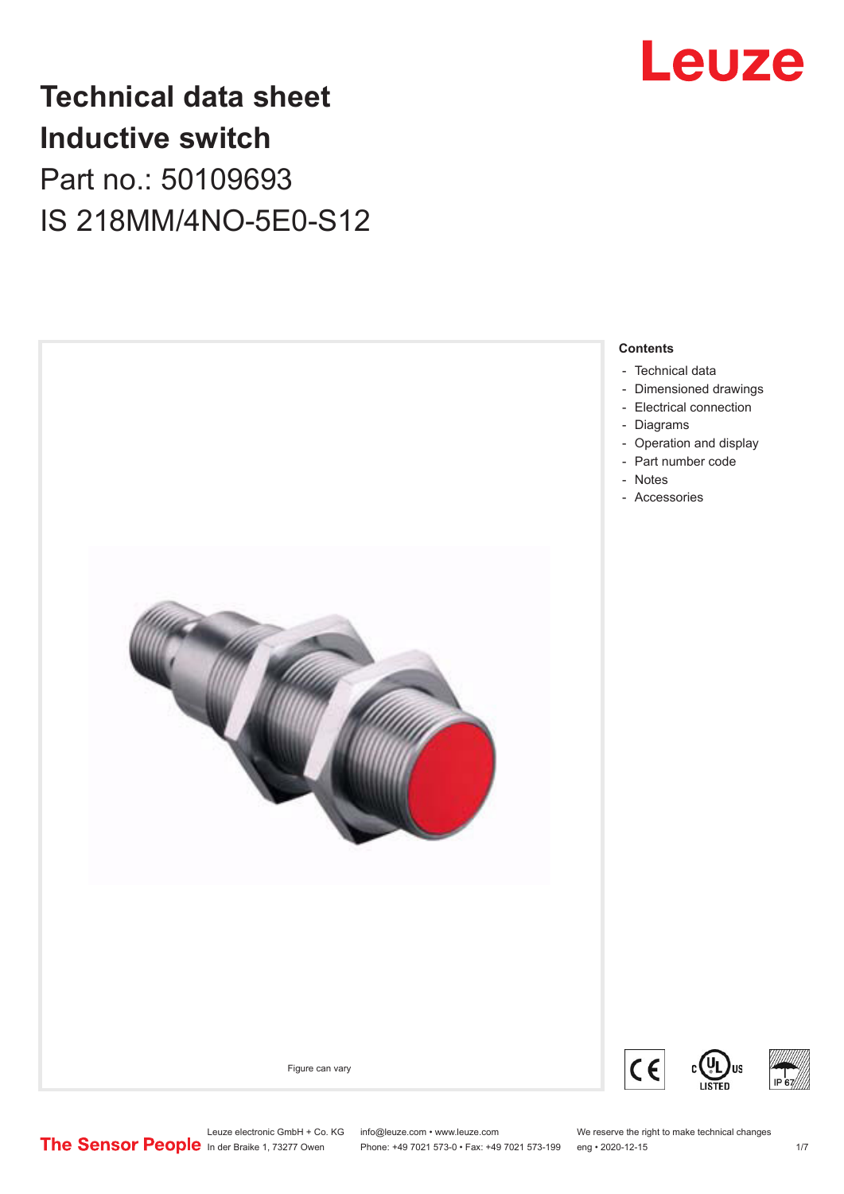

## **Technical data sheet Inductive switch** Part no.: 50109693 IS 218MM/4NO-5E0-S12



Leuze electronic GmbH + Co. KG info@leuze.com • www.leuze.com We reserve the right to make technical changes<br>
The Sensor People in der Braike 1, 73277 Owen Phone: +49 7021 573-0 • Fax: +49 7021 573-199 eng • 2020-12-15

Phone: +49 7021 573-0 • Fax: +49 7021 573-199 eng • 2020-12-15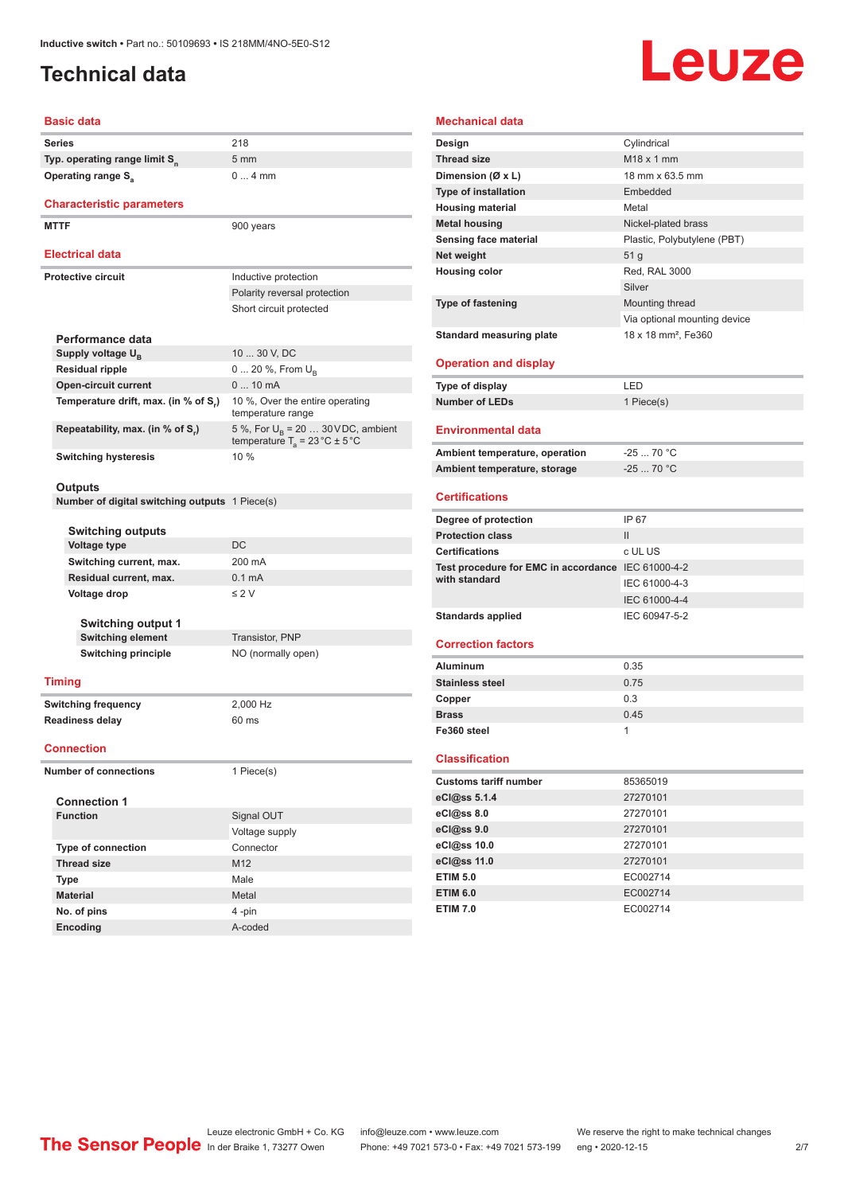## <span id="page-1-0"></span>**Technical data**

# Leuze

#### **Basic data**

|                              | Series                                                | 218                                                                                      |  |
|------------------------------|-------------------------------------------------------|------------------------------------------------------------------------------------------|--|
|                              | Typ. operating range limit S <sub>n</sub>             | $5 \text{ mm}$                                                                           |  |
|                              | Operating range S <sub>a</sub>                        | $04$ mm                                                                                  |  |
|                              |                                                       |                                                                                          |  |
|                              | <b>Characteristic parameters</b>                      |                                                                                          |  |
|                              | <b>MTTF</b>                                           | 900 years                                                                                |  |
|                              |                                                       |                                                                                          |  |
|                              | <b>Electrical data</b>                                |                                                                                          |  |
|                              | <b>Protective circuit</b>                             | Inductive protection                                                                     |  |
|                              |                                                       | Polarity reversal protection                                                             |  |
|                              |                                                       | Short circuit protected                                                                  |  |
|                              |                                                       |                                                                                          |  |
|                              | Performance data                                      |                                                                                          |  |
|                              | Supply voltage U <sub>B</sub>                         | 10  30 V, DC                                                                             |  |
|                              | <b>Residual ripple</b>                                | 0  20 %, From U <sub>B</sub>                                                             |  |
|                              | <b>Open-circuit current</b>                           | $010$ mA                                                                                 |  |
|                              | Temperature drift, max. (in % of S.)                  | 10 %, Over the entire operating<br>temperature range                                     |  |
|                              | Repeatability, max. (in % of S.)                      | 5 %, For $U_B$ = 20  30 VDC, ambient<br>temperature $T_a = 23 \degree C \pm 5 \degree C$ |  |
|                              | <b>Switching hysteresis</b>                           | 10 %                                                                                     |  |
|                              |                                                       |                                                                                          |  |
|                              | Outputs                                               |                                                                                          |  |
|                              | <b>Number of digital switching outputs</b> 1 Piece(s) |                                                                                          |  |
|                              |                                                       |                                                                                          |  |
|                              | <b>Switching outputs</b>                              | DC                                                                                       |  |
|                              | Voltage type                                          |                                                                                          |  |
|                              | Switching current, max.                               | 200 mA                                                                                   |  |
|                              | Residual current, max.                                | 0.1 <sub>m</sub> A                                                                       |  |
|                              | Voltage drop                                          | $\leq 2$ V                                                                               |  |
|                              |                                                       |                                                                                          |  |
|                              | <b>Switching output 1</b><br>Switching element        | Transistor, PNP                                                                          |  |
|                              | <b>Switching principle</b>                            | NO (normally open)                                                                       |  |
|                              |                                                       |                                                                                          |  |
|                              | Timing                                                |                                                                                          |  |
|                              | <b>Switching frequency</b>                            | 2,000 Hz                                                                                 |  |
|                              | <b>Readiness delay</b>                                | 60 ms                                                                                    |  |
|                              |                                                       |                                                                                          |  |
|                              | <b>Connection</b>                                     |                                                                                          |  |
| <b>Number of connections</b> |                                                       | 1 Piece(s)                                                                               |  |
|                              |                                                       |                                                                                          |  |
|                              | <b>Connection 1</b>                                   |                                                                                          |  |
|                              | <b>Function</b>                                       | Signal OUT                                                                               |  |
|                              |                                                       | Voltage supply                                                                           |  |
|                              | Type of connection                                    | Connector                                                                                |  |
|                              | <b>Thread size</b>                                    | M12                                                                                      |  |
|                              | <b>Type</b>                                           | Male                                                                                     |  |
|                              | <b>Material</b>                                       | Metal                                                                                    |  |
|                              | No. of pins                                           | 4-pin                                                                                    |  |

| <b>Mechanical data</b>                             |                                 |  |  |  |
|----------------------------------------------------|---------------------------------|--|--|--|
| Design                                             | Cylindrical                     |  |  |  |
| <b>Thread size</b>                                 | $M18 \times 1$ mm               |  |  |  |
| Dimension (Ø x L)                                  | 18 mm x 63.5 mm                 |  |  |  |
| <b>Type of installation</b>                        | Embedded                        |  |  |  |
| <b>Housing material</b>                            | Metal                           |  |  |  |
| <b>Metal housing</b>                               | Nickel-plated brass             |  |  |  |
| Sensing face material                              | Plastic, Polybutylene (PBT)     |  |  |  |
| Net weight                                         | 51 <sub>g</sub>                 |  |  |  |
| <b>Housing color</b>                               | Red. RAL 3000                   |  |  |  |
|                                                    | Silver                          |  |  |  |
| <b>Type of fastening</b>                           | Mounting thread                 |  |  |  |
|                                                    | Via optional mounting device    |  |  |  |
| <b>Standard measuring plate</b>                    | 18 x 18 mm <sup>2</sup> , Fe360 |  |  |  |
|                                                    |                                 |  |  |  |
| <b>Operation and display</b>                       |                                 |  |  |  |
| <b>Type of display</b>                             | LED                             |  |  |  |
| <b>Number of LEDs</b>                              | 1 Piece(s)                      |  |  |  |
|                                                    |                                 |  |  |  |
| <b>Environmental data</b>                          |                                 |  |  |  |
| Ambient temperature, operation                     | $-25$ 70 °C                     |  |  |  |
| Ambient temperature, storage                       | $-2570 °C$                      |  |  |  |
|                                                    |                                 |  |  |  |
| <b>Certifications</b>                              |                                 |  |  |  |
|                                                    |                                 |  |  |  |
| Degree of protection                               | IP 67                           |  |  |  |
| <b>Protection class</b>                            | $\mathbf{II}$                   |  |  |  |
| <b>Certifications</b>                              | c UL US                         |  |  |  |
| Test procedure for EMC in accordance IEC 61000-4-2 |                                 |  |  |  |
| with standard                                      | IEC 61000-4-3                   |  |  |  |
|                                                    | IEC 61000-4-4                   |  |  |  |
| <b>Standards applied</b>                           | IEC 60947-5-2                   |  |  |  |
|                                                    |                                 |  |  |  |
| <b>Correction factors</b>                          |                                 |  |  |  |
| Aluminum                                           | 0.35                            |  |  |  |
| <b>Stainless steel</b>                             | 0.75                            |  |  |  |
| Copper                                             | 0.3                             |  |  |  |
| <b>Brass</b>                                       | 0.45                            |  |  |  |
| Fe360 steel                                        | 1                               |  |  |  |
|                                                    |                                 |  |  |  |
| <b>Classification</b>                              |                                 |  |  |  |
| <b>Customs tariff number</b>                       | 85365019                        |  |  |  |
| eCl@ss 5.1.4                                       | 27270101                        |  |  |  |
| eCl@ss 8.0                                         | 27270101                        |  |  |  |
| eCl@ss 9.0                                         | 27270101                        |  |  |  |
| eCl@ss 10.0                                        | 27270101                        |  |  |  |
| eCl@ss 11.0                                        | 27270101                        |  |  |  |
| <b>ETIM 5.0</b><br><b>ETIM 6.0</b>                 | EC002714<br>EC002714            |  |  |  |

**Encoding** A-coded

**ETIM 7.0** EC002714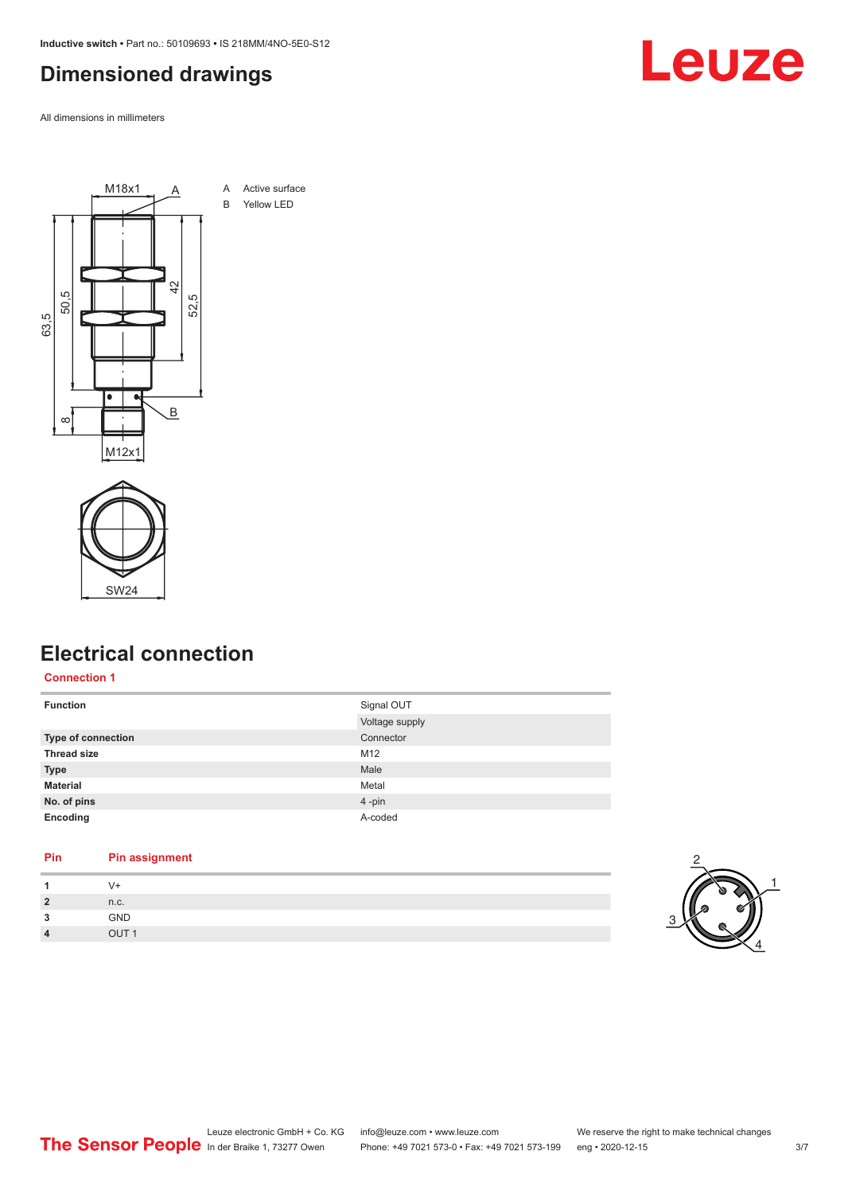<span id="page-2-0"></span>**Inductive switch •** Part no.: 50109693 **•** IS 218MM/4NO-5E0-S12

### **Dimensioned drawings**

All dimensions in millimeters





#### **Electrical connection**

#### **Connection 1**

| <b>Function</b>    | Signal OUT     |
|--------------------|----------------|
|                    | Voltage supply |
| Type of connection | Connector      |
| <b>Thread size</b> | M12            |
| <b>Type</b>        | Male           |
| <b>Material</b>    | Metal          |
| No. of pins        | 4-pin          |
| Encoding           | A-coded        |

#### **Pin Pin assignment**

| 1              | $V +$            |
|----------------|------------------|
| $\overline{2}$ | n.c.             |
| 3              | GND              |
| $\overline{4}$ | OUT <sub>1</sub> |



Leuze

Leuze electronic GmbH + Co. KG info@leuze.com • www.leuze.com We reserve the right to make technical changes In der Braike 1, 73277 Owen Phone: +49 7021 573-0 • Fax: +49 7021 573-199 eng • 2020-12-15 3/7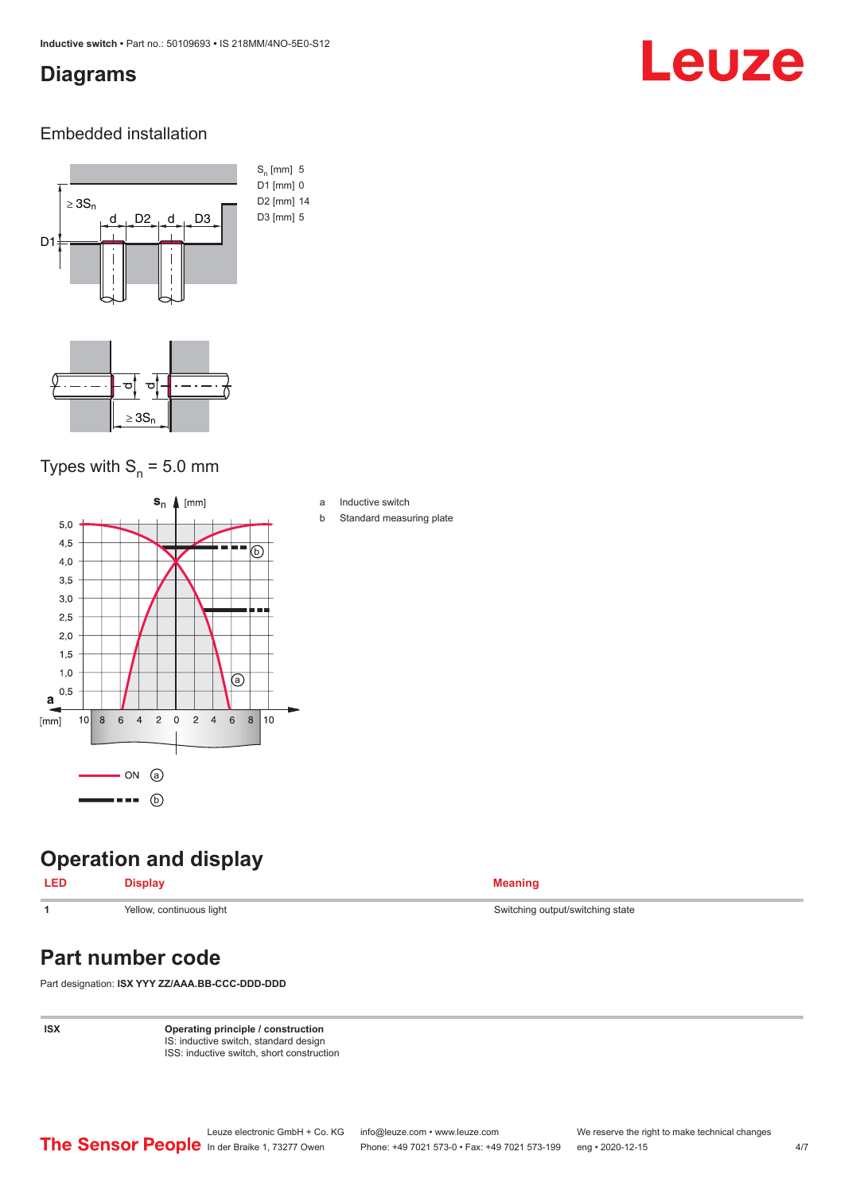#### <span id="page-3-0"></span>**Diagrams**

# Leuze

#### Embedded installation



#### Types with  $S_{n}$  = 5.0 mm



#### **Operation and display**

|  | ≃sniav                   |  |
|--|--------------------------|--|
|  | Yellow, continuous light |  |

## **Part number code**

Part designation: **ISX YYY ZZ/AAA.BB-CCC-DDD-DDD**

**ISX Operating principle / construction** IS: inductive switch, standard design ISS: inductive switch, short construction

Switching output/switching state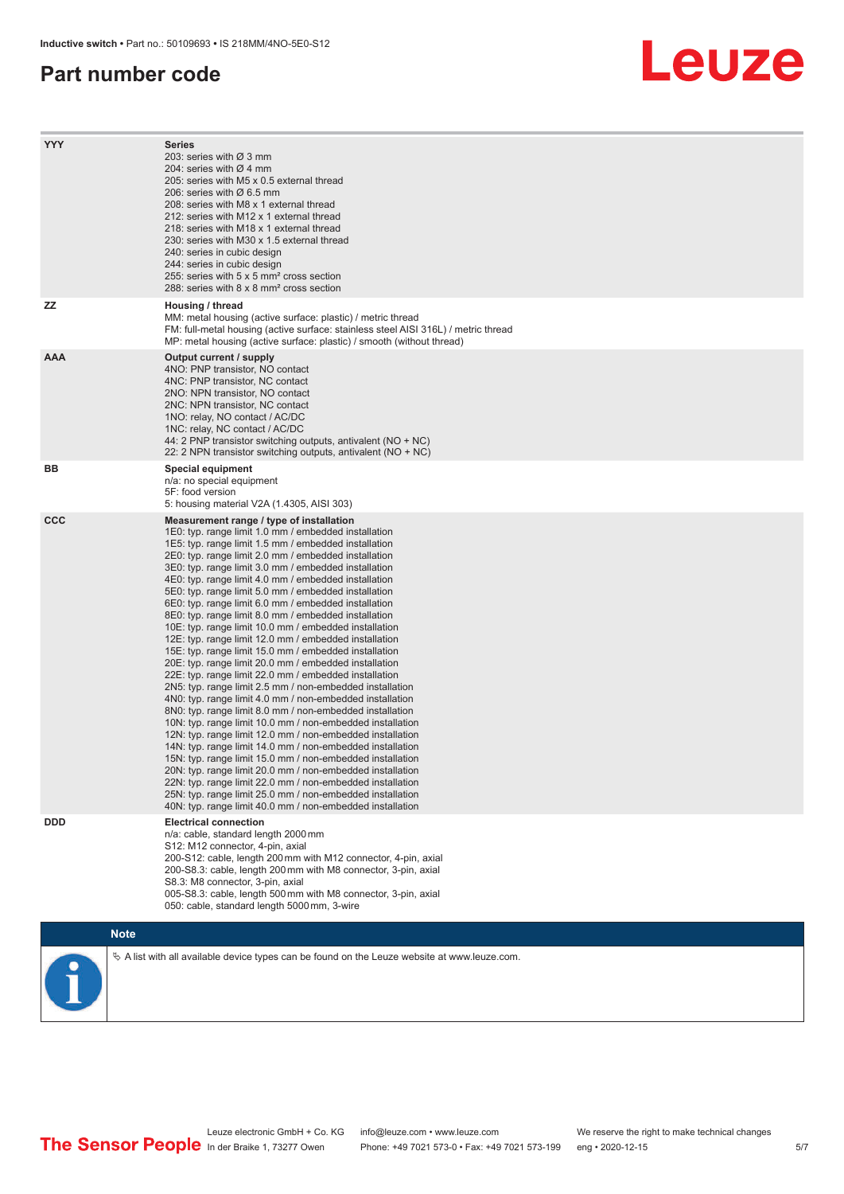#### **Part number code**

# Leuze

| <b>YYY</b> | <b>Series</b><br>203: series with Ø 3 mm<br>204: series with $\varnothing$ 4 mm<br>205: series with M5 x 0.5 external thread<br>206: series with $\varnothing$ 6.5 mm<br>208: series with M8 x 1 external thread<br>212: series with M12 x 1 external thread<br>218: series with M18 x 1 external thread<br>230: series with M30 x 1.5 external thread<br>240: series in cubic design<br>244: series in cubic design<br>255: series with 5 x 5 mm <sup>2</sup> cross section<br>288: series with 8 x 8 mm <sup>2</sup> cross section                                                                                                                                                                                                                                                                                                                                                                                                                                                                                                                                                                                                                                                                                                                                                                                                                                                                                                                                                              |
|------------|---------------------------------------------------------------------------------------------------------------------------------------------------------------------------------------------------------------------------------------------------------------------------------------------------------------------------------------------------------------------------------------------------------------------------------------------------------------------------------------------------------------------------------------------------------------------------------------------------------------------------------------------------------------------------------------------------------------------------------------------------------------------------------------------------------------------------------------------------------------------------------------------------------------------------------------------------------------------------------------------------------------------------------------------------------------------------------------------------------------------------------------------------------------------------------------------------------------------------------------------------------------------------------------------------------------------------------------------------------------------------------------------------------------------------------------------------------------------------------------------------|
| ΖZ         | Housing / thread<br>MM: metal housing (active surface: plastic) / metric thread<br>FM: full-metal housing (active surface: stainless steel AISI 316L) / metric thread<br>MP: metal housing (active surface: plastic) / smooth (without thread)                                                                                                                                                                                                                                                                                                                                                                                                                                                                                                                                                                                                                                                                                                                                                                                                                                                                                                                                                                                                                                                                                                                                                                                                                                                    |
| <b>AAA</b> | Output current / supply<br>4NO: PNP transistor, NO contact<br>4NC: PNP transistor, NC contact<br>2NO: NPN transistor, NO contact<br>2NC: NPN transistor, NC contact<br>1NO: relay, NO contact / AC/DC<br>1NC: relay, NC contact / AC/DC<br>44: 2 PNP transistor switching outputs, antivalent (NO + NC)<br>22: 2 NPN transistor switching outputs, antivalent (NO + NC)                                                                                                                                                                                                                                                                                                                                                                                                                                                                                                                                                                                                                                                                                                                                                                                                                                                                                                                                                                                                                                                                                                                           |
| BВ         | Special equipment<br>n/a: no special equipment<br>5F: food version<br>5: housing material V2A (1.4305, AISI 303)                                                                                                                                                                                                                                                                                                                                                                                                                                                                                                                                                                                                                                                                                                                                                                                                                                                                                                                                                                                                                                                                                                                                                                                                                                                                                                                                                                                  |
| <b>CCC</b> | Measurement range / type of installation<br>1E0: typ. range limit 1.0 mm / embedded installation<br>1E5: typ. range limit 1.5 mm / embedded installation<br>2E0: typ. range limit 2.0 mm / embedded installation<br>3E0: typ. range limit 3.0 mm / embedded installation<br>4E0: typ. range limit 4.0 mm / embedded installation<br>5E0: typ. range limit 5.0 mm / embedded installation<br>6E0: typ. range limit 6.0 mm / embedded installation<br>8E0: typ. range limit 8.0 mm / embedded installation<br>10E: typ. range limit 10.0 mm / embedded installation<br>12E: typ. range limit 12.0 mm / embedded installation<br>15E: typ. range limit 15.0 mm / embedded installation<br>20E: typ. range limit 20.0 mm / embedded installation<br>22E: typ. range limit 22.0 mm / embedded installation<br>2N5: typ. range limit 2.5 mm / non-embedded installation<br>4N0: typ. range limit 4.0 mm / non-embedded installation<br>8N0: typ. range limit 8.0 mm / non-embedded installation<br>10N: typ. range limit 10.0 mm / non-embedded installation<br>12N: typ. range limit 12.0 mm / non-embedded installation<br>14N: typ. range limit 14.0 mm / non-embedded installation<br>15N: typ. range limit 15.0 mm / non-embedded installation<br>20N: typ. range limit 20.0 mm / non-embedded installation<br>22N: typ. range limit 22.0 mm / non-embedded installation<br>25N: typ. range limit 25.0 mm / non-embedded installation<br>40N: typ. range limit 40.0 mm / non-embedded installation |
| <b>DDD</b> | <b>Electrical connection</b><br>n/a: cable, standard length 2000 mm<br>S12: M12 connector, 4-pin, axial<br>200-S12: cable, length 200 mm with M12 connector, 4-pin, axial<br>200-S8.3: cable, length 200 mm with M8 connector, 3-pin, axial<br>S8.3: M8 connector, 3-pin, axial<br>005-S8.3: cable, length 500 mm with M8 connector, 3-pin, axial<br>050: cable, standard length 5000 mm, 3-wire                                                                                                                                                                                                                                                                                                                                                                                                                                                                                                                                                                                                                                                                                                                                                                                                                                                                                                                                                                                                                                                                                                  |
|            | <b>Note</b>                                                                                                                                                                                                                                                                                                                                                                                                                                                                                                                                                                                                                                                                                                                                                                                                                                                                                                                                                                                                                                                                                                                                                                                                                                                                                                                                                                                                                                                                                       |
|            | $\&$ A list with all available device types can be found on the Leuze website at www.leuze.com.                                                                                                                                                                                                                                                                                                                                                                                                                                                                                                                                                                                                                                                                                                                                                                                                                                                                                                                                                                                                                                                                                                                                                                                                                                                                                                                                                                                                   |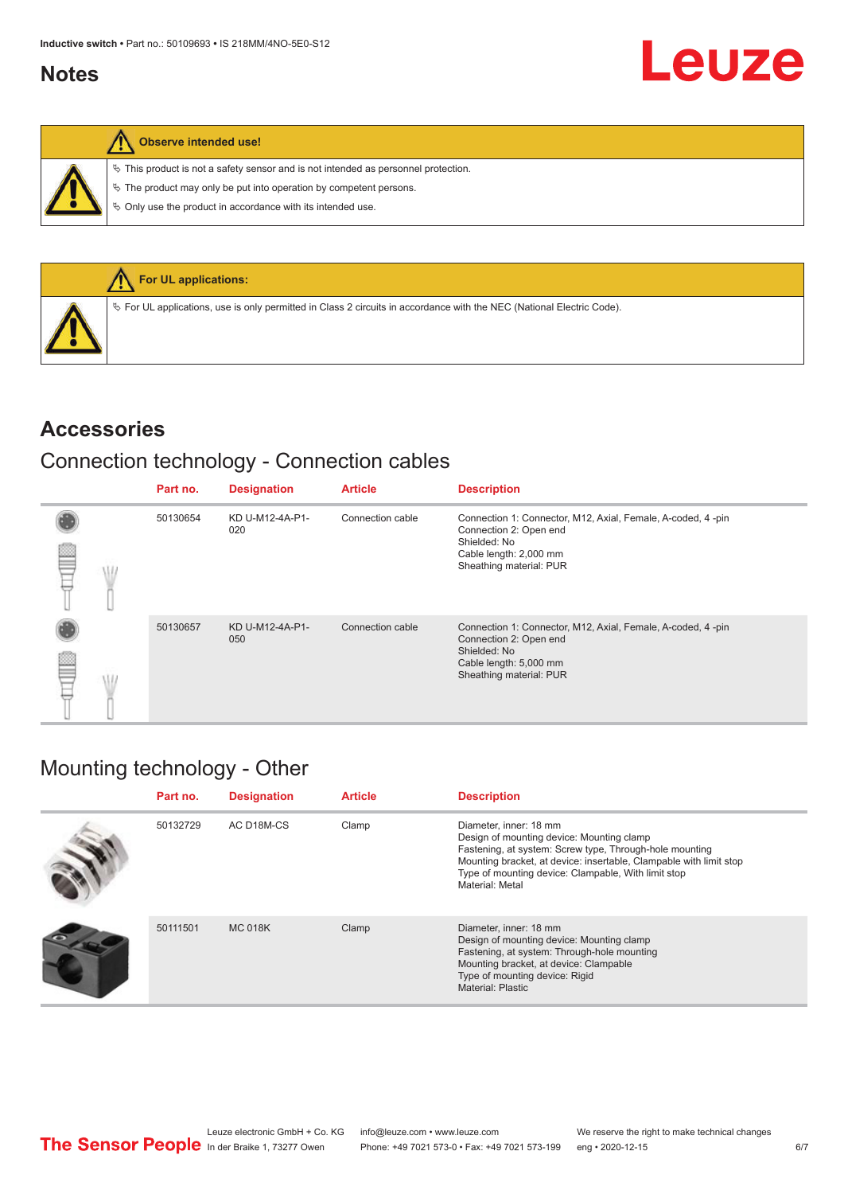#### <span id="page-5-0"></span>**Notes**

|  |  | Observe intended use! |  |
|--|--|-----------------------|--|
|--|--|-----------------------|--|

 $\%$  This product is not a safety sensor and is not intended as personnel protection.

 $\&$  The product may only be put into operation by competent persons.

 $\%$  Only use the product in accordance with its intended use.



#### **Accessories**

### Connection technology - Connection cables

|  | Part no. | <b>Designation</b>     | <b>Article</b>   | <b>Description</b>                                                                                                                                         |
|--|----------|------------------------|------------------|------------------------------------------------------------------------------------------------------------------------------------------------------------|
|  | 50130654 | KD U-M12-4A-P1-<br>020 | Connection cable | Connection 1: Connector, M12, Axial, Female, A-coded, 4-pin<br>Connection 2: Open end<br>Shielded: No<br>Cable length: 2,000 mm<br>Sheathing material: PUR |
|  | 50130657 | KD U-M12-4A-P1-<br>050 | Connection cable | Connection 1: Connector, M12, Axial, Female, A-coded, 4-pin<br>Connection 2: Open end<br>Shielded: No<br>Cable length: 5,000 mm<br>Sheathing material: PUR |

## Mounting technology - Other

| Part no. | <b>Designation</b> | <b>Article</b> | <b>Description</b>                                                                                                                                                                                                                                                             |
|----------|--------------------|----------------|--------------------------------------------------------------------------------------------------------------------------------------------------------------------------------------------------------------------------------------------------------------------------------|
| 50132729 | AC D18M-CS         | Clamp          | Diameter, inner: 18 mm<br>Design of mounting device: Mounting clamp<br>Fastening, at system: Screw type, Through-hole mounting<br>Mounting bracket, at device: insertable, Clampable with limit stop<br>Type of mounting device: Clampable, With limit stop<br>Material: Metal |
| 50111501 | <b>MC 018K</b>     | Clamp          | Diameter, inner: 18 mm<br>Design of mounting device: Mounting clamp<br>Fastening, at system: Through-hole mounting<br>Mounting bracket, at device: Clampable<br>Type of mounting device: Rigid<br>Material: Plastic                                                            |

Leuze